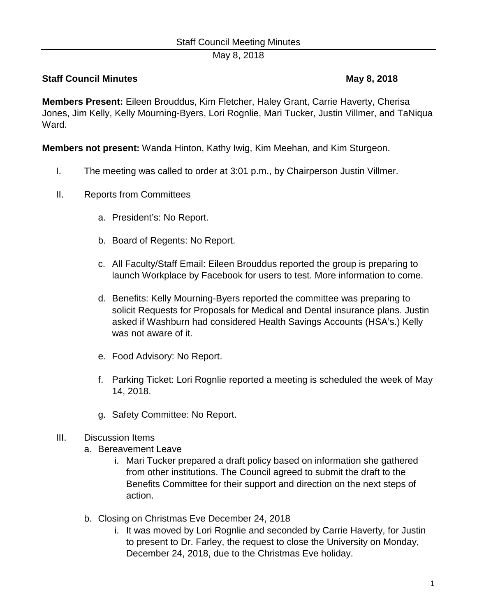May 8, 2018

# **Staff Council Minutes Council Minutes According to May 8, 2018**

**Members Present:** Eileen Brouddus, Kim Fletcher, Haley Grant, Carrie Haverty, Cherisa Jones, Jim Kelly, Kelly Mourning-Byers, Lori Rognlie, Mari Tucker, Justin Villmer, and TaNiqua Ward.

**Members not present:** Wanda Hinton, Kathy Iwig, Kim Meehan, and Kim Sturgeon.

- I. The meeting was called to order at 3:01 p.m., by Chairperson Justin Villmer.
- II. Reports from Committees
	- a. President's: No Report.
	- b. Board of Regents: No Report.
	- c. All Faculty/Staff Email: Eileen Brouddus reported the group is preparing to launch Workplace by Facebook for users to test. More information to come.
	- d. Benefits: Kelly Mourning-Byers reported the committee was preparing to solicit Requests for Proposals for Medical and Dental insurance plans. Justin asked if Washburn had considered Health Savings Accounts (HSA's.) Kelly was not aware of it.
	- e. Food Advisory: No Report.
	- f. Parking Ticket: Lori Rognlie reported a meeting is scheduled the week of May 14, 2018.
	- g. Safety Committee: No Report.

### III. Discussion Items

- a. Bereavement Leave
	- i. Mari Tucker prepared a draft policy based on information she gathered from other institutions. The Council agreed to submit the draft to the Benefits Committee for their support and direction on the next steps of action.
- b. Closing on Christmas Eve December 24, 2018
	- i. It was moved by Lori Rognlie and seconded by Carrie Haverty, for Justin to present to Dr. Farley, the request to close the University on Monday, December 24, 2018, due to the Christmas Eve holiday.